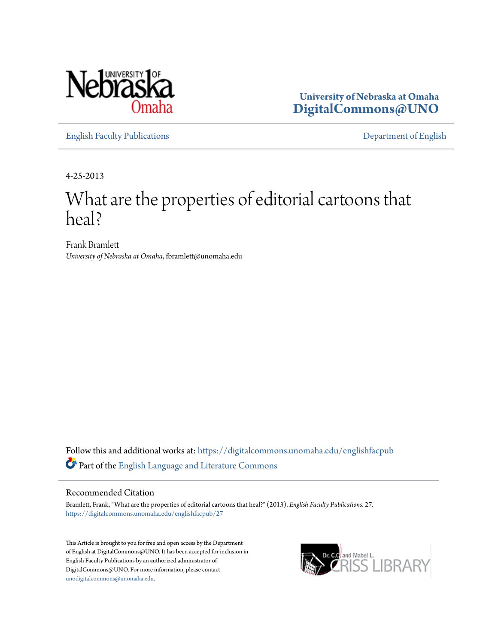

**University of Nebraska at Omaha [DigitalCommons@UNO](https://digitalcommons.unomaha.edu?utm_source=digitalcommons.unomaha.edu%2Fenglishfacpub%2F27&utm_medium=PDF&utm_campaign=PDFCoverPages)**

[English Faculty Publications](https://digitalcommons.unomaha.edu/englishfacpub?utm_source=digitalcommons.unomaha.edu%2Fenglishfacpub%2F27&utm_medium=PDF&utm_campaign=PDFCoverPages) [Department of English](https://digitalcommons.unomaha.edu/english?utm_source=digitalcommons.unomaha.edu%2Fenglishfacpub%2F27&utm_medium=PDF&utm_campaign=PDFCoverPages)

4-25-2013

### What are the properties of editorial cartoons that heal?

Frank Bramlett *University of Nebraska at Omaha*, fbramlett@unomaha.edu

Follow this and additional works at: [https://digitalcommons.unomaha.edu/englishfacpub](https://digitalcommons.unomaha.edu/englishfacpub?utm_source=digitalcommons.unomaha.edu%2Fenglishfacpub%2F27&utm_medium=PDF&utm_campaign=PDFCoverPages) Part of the [English Language and Literature Commons](http://network.bepress.com/hgg/discipline/455?utm_source=digitalcommons.unomaha.edu%2Fenglishfacpub%2F27&utm_medium=PDF&utm_campaign=PDFCoverPages)

#### Recommended Citation

Bramlett, Frank, "What are the properties of editorial cartoons that heal?" (2013). *English Faculty Publications*. 27. [https://digitalcommons.unomaha.edu/englishfacpub/27](https://digitalcommons.unomaha.edu/englishfacpub/27?utm_source=digitalcommons.unomaha.edu%2Fenglishfacpub%2F27&utm_medium=PDF&utm_campaign=PDFCoverPages)

This Article is brought to you for free and open access by the Department of English at DigitalCommons@UNO. It has been accepted for inclusion in English Faculty Publications by an authorized administrator of DigitalCommons@UNO. For more information, please contact [unodigitalcommons@unomaha.edu](mailto:unodigitalcommons@unomaha.edu).

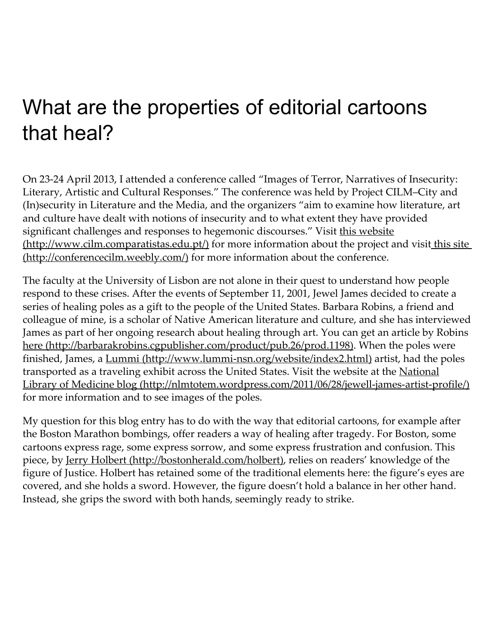# What are the properties of editorial cartoons that heal?

On 23‑24 April 2013, I attended a conference called "Images of Terror, Narratives of Insecurity: Literary, Artistic and Cultural Responses." The conference was held by Project CILM–City and (In)security in Literature and the Media, and the organizers "aim to examine how literature, art and culture have dealt with notions of insecurity and to what extent they have provided significant challenges and responses to hegemonic discourses." Visit this website [\(http://www.cilm.comparatistas.edu.pt/\)](http://www.cilm.comparatistas.edu.pt/) for more information about the project and visit this site (http://conferencecilm.weebly.com/) for more information about the conference.

The faculty at the University of Lisbon are not alone in their quest to understand how people respond to these crises. After the events of September 11, 2001, Jewel James decided to create a series of healing poles as a gift to the people of the United States. Barbara Robins, a friend and colleague of mine, is a scholar of Native American literature and culture, and she has interviewed James as part of her ongoing research about healing through art. You can get an article by Robins here [\(http://barbarakrobins.cgpublisher.com/product/pub.26/prod.1198\)](http://barbarakrobins.cgpublisher.com/product/pub.26/prod.1198). When the poles were finished, James, a Lummi (http://www.lummi-nsn.org/website/index2.html) artist, had the poles transported as a traveling exhibit across the United States. Visit the website at the National Library of Medicine blog (http://nlmtotem.wordpress.com/2011/06/28/jewell-james-artist-profile/) for more information and to see images of the poles.

My question for this blog entry has to do with the way that editorial cartoons, for example after the Boston Marathon bombings, offer readers a way of healing after tragedy. For Boston, some cartoons express rage, some express sorrow, and some express frustration and confusion. This piece, by Jerry Holbert [\(http://bostonherald.com/holbert\)](http://bostonherald.com/holbert), relies on readers' knowledge of the figure of Justice. Holbert has retained some of the traditional elements here: the figure's eyes are covered, and she holds a sword. However, the figure doesn't hold a balance in her other hand. Instead, she grips the sword with both hands, seemingly ready to strike.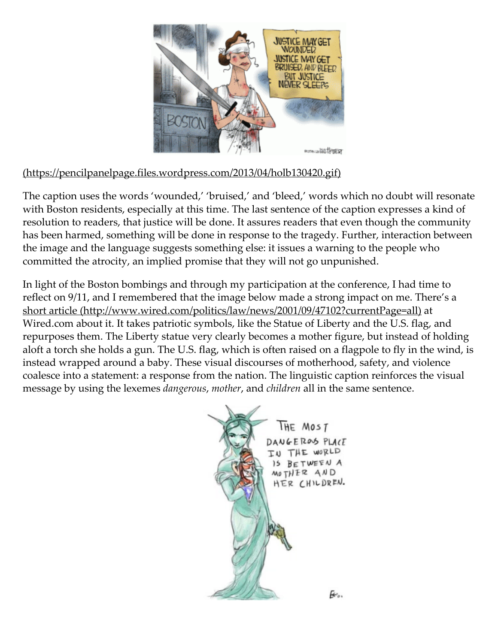

### (https://pencilpanelpage.files.wordpress.com/2013/04/holb130420.gif)

The caption uses the words 'wounded,' 'bruised,' and 'bleed,' words which no doubt will resonate with Boston residents, especially at this time. The last sentence of the caption expresses a kind of resolution to readers, that justice will be done. It assures readers that even though the community has been harmed, something will be done in response to the tragedy. Further, interaction between the image and the language suggests something else: it issues a warning to the people who committed the atrocity, an implied promise that they will not go unpunished.

In light of the Boston bombings and through my participation at the conference, I had time to reflect on 9/11, and I remembered that the image below made a strong impact on me. There's a short article [\(http://www.wired.com/politics/law/news/2001/09/47102?currentPage=all\)](http://www.wired.com/politics/law/news/2001/09/47102?currentPage=all) at Wired.com about it. It takes patriotic symbols, like the Statue of Liberty and the U.S. flag, and repurposes them. The Liberty statue very clearly becomes a mother figure, but instead of holding aloft a torch she holds a gun. The U.S. flag, which is often raised on a flagpole to fly in the wind, is instead wrapped around a baby. These visual discourses of motherhood, safety, and violence coalesce into a statement: a response from the nation. The linguistic caption reinforces the visual message by using the lexemes dangerous, mother, and children all in the same sentence.